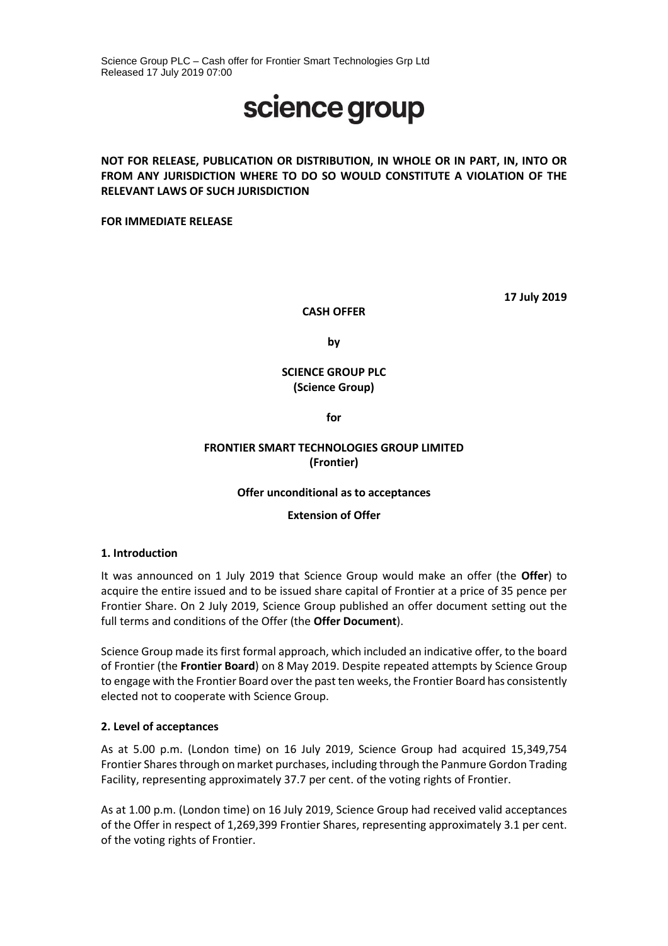Science Group PLC – Cash offer for Frontier Smart Technologies Grp Ltd Released 17 July 2019 07:00

# science group

# **NOT FOR RELEASE, PUBLICATION OR DISTRIBUTION, IN WHOLE OR IN PART, IN, INTO OR FROM ANY JURISDICTION WHERE TO DO SO WOULD CONSTITUTE A VIOLATION OF THE RELEVANT LAWS OF SUCH JURISDICTION**

**FOR IMMEDIATE RELEASE**

**17 July 2019**

**CASH OFFER** 

**by** 

# **SCIENCE GROUP PLC (Science Group)**

**for**

# **FRONTIER SMART TECHNOLOGIES GROUP LIMITED (Frontier)**

### **Offer unconditional as to acceptances**

### **Extension of Offer**

### **1. Introduction**

It was announced on 1 July 2019 that Science Group would make an offer (the **Offer**) to acquire the entire issued and to be issued share capital of Frontier at a price of 35 pence per Frontier Share. On 2 July 2019, Science Group published an offer document setting out the full terms and conditions of the Offer (the **Offer Document**).

Science Group made its first formal approach, which included an indicative offer, to the board of Frontier (the **Frontier Board**) on 8 May 2019. Despite repeated attempts by Science Group to engage with the Frontier Board over the past ten weeks, the Frontier Board has consistently elected not to cooperate with Science Group.

### **2. Level of acceptances**

As at 5.00 p.m. (London time) on 16 July 2019, Science Group had acquired 15,349,754 Frontier Shares through on market purchases, including through the Panmure Gordon Trading Facility, representing approximately 37.7 per cent. of the voting rights of Frontier.

As at 1.00 p.m. (London time) on 16 July 2019, Science Group had received valid acceptances of the Offer in respect of 1,269,399 Frontier Shares, representing approximately 3.1 per cent. of the voting rights of Frontier.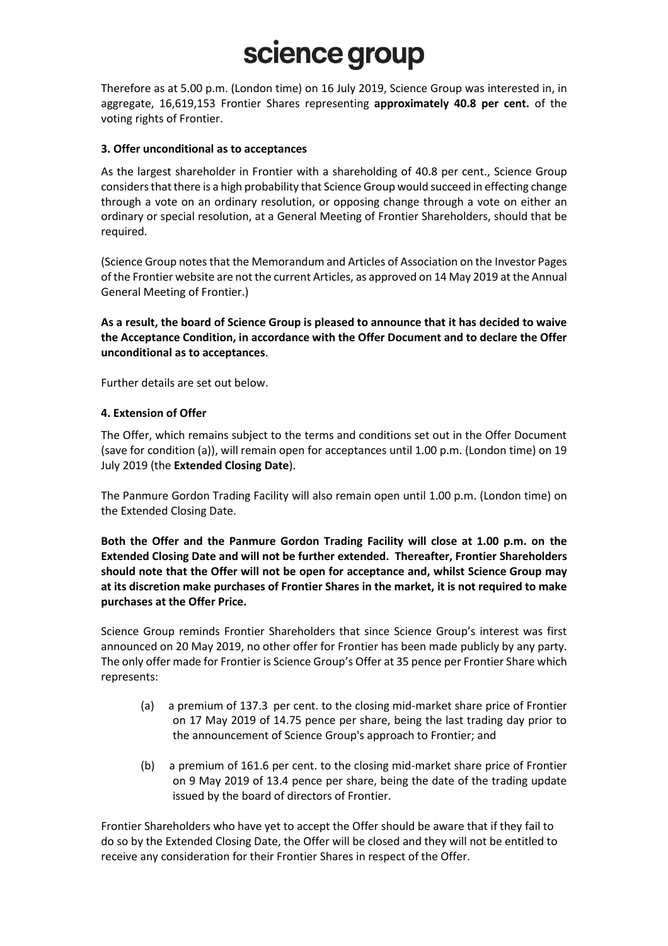Therefore as at 5.00 p.m. (London time) on 16 July 2019, Science Group was interested in, in aggregate, 16,619,153 Frontier Shares representing **approximately 40.8 per cent.** of the voting rights of Frontier.

## **3. Offer unconditional as to acceptances**

As the largest shareholder in Frontier with a shareholding of 40.8 per cent., Science Group considers that there is a high probability that Science Group would succeed in effecting change through a vote on an ordinary resolution, or opposing change through a vote on either an ordinary or special resolution, at a General Meeting of Frontier Shareholders, should that be required.

(Science Group notes that the Memorandum and Articles of Association on the Investor Pages of the Frontier website are not the current Articles, as approved on 14 May 2019 at the Annual General Meeting of Frontier.)

**As a result, the board of Science Group is pleased to announce that it has decided to waive the Acceptance Condition, in accordance with the Offer Document and to declare the Offer unconditional as to acceptances**.

Further details are set out below.

## **4. Extension of Offer**

The Offer, which remains subject to the terms and conditions set out in the Offer Document (save for condition (a)), will remain open for acceptances until 1.00 p.m. (London time) on 19 July 2019 (the **Extended Closing Date**).

The Panmure Gordon Trading Facility will also remain open until 1.00 p.m. (London time) on the Extended Closing Date.

**Both the Offer and the Panmure Gordon Trading Facility will close at 1.00 p.m. on the Extended Closing Date and will not be further extended. Thereafter, Frontier Shareholders should note that the Offer will not be open for acceptance and, whilst Science Group may at its discretion make purchases of Frontier Shares in the market, it is not required to make purchases at the Offer Price.**

Science Group reminds Frontier Shareholders that since Science Group's interest was first announced on 20 May 2019, no other offer for Frontier has been made publicly by any party. The only offer made for Frontier is Science Group's Offer at 35 pence per Frontier Share which represents:

- (a) a premium of 137.3 per cent. to the closing mid-market share price of Frontier on 17 May 2019 of 14.75 pence per share, being the last trading day prior to the announcement of Science Group's approach to Frontier; and
- (b) a premium of 161.6 per cent. to the closing mid-market share price of Frontier on 9 May 2019 of 13.4 pence per share, being the date of the trading update issued by the board of directors of Frontier.

Frontier Shareholders who have yet to accept the Offer should be aware that if they fail to do so by the Extended Closing Date, the Offer will be closed and they will not be entitled to receive any consideration for their Frontier Shares in respect of the Offer.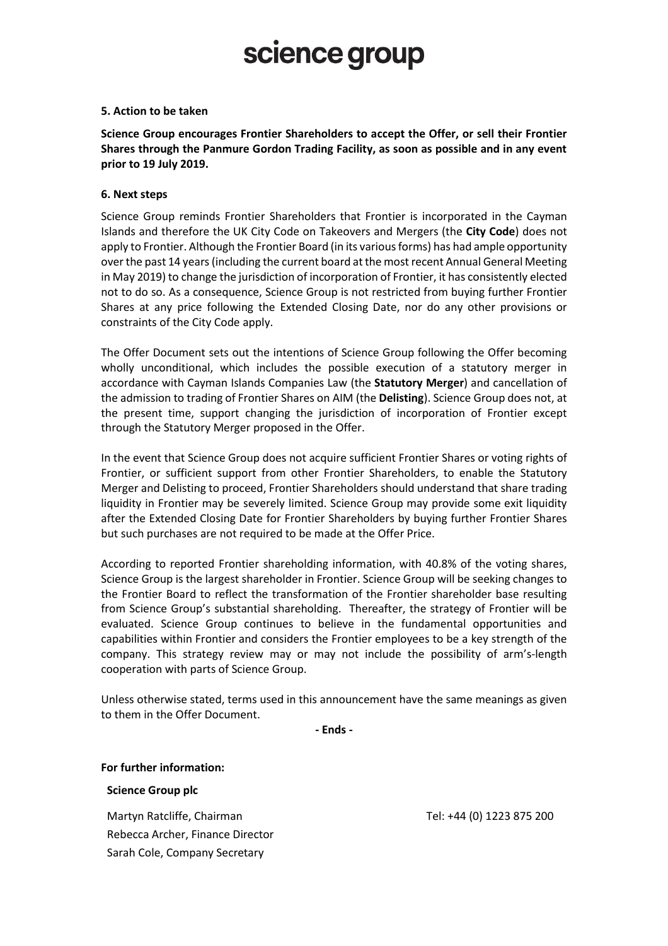#### **5. Action to be taken**

**Science Group encourages Frontier Shareholders to accept the Offer, or sell their Frontier Shares through the Panmure Gordon Trading Facility, as soon as possible and in any event prior to 19 July 2019.**

#### **6. Next steps**

Science Group reminds Frontier Shareholders that Frontier is incorporated in the Cayman Islands and therefore the UK City Code on Takeovers and Mergers (the **City Code**) does not apply to Frontier. Although the Frontier Board (in its various forms) has had ample opportunity over the past 14 years (including the current board at the most recent Annual General Meeting in May 2019) to change the jurisdiction of incorporation of Frontier, it has consistently elected not to do so. As a consequence, Science Group is not restricted from buying further Frontier Shares at any price following the Extended Closing Date, nor do any other provisions or constraints of the City Code apply.

The Offer Document sets out the intentions of Science Group following the Offer becoming wholly unconditional, which includes the possible execution of a statutory merger in accordance with Cayman Islands Companies Law (the **Statutory Merger**) and cancellation of the admission to trading of Frontier Shares on AIM (the **Delisting**). Science Group does not, at the present time, support changing the jurisdiction of incorporation of Frontier except through the Statutory Merger proposed in the Offer.

In the event that Science Group does not acquire sufficient Frontier Shares or voting rights of Frontier, or sufficient support from other Frontier Shareholders, to enable the Statutory Merger and Delisting to proceed, Frontier Shareholders should understand that share trading liquidity in Frontier may be severely limited. Science Group may provide some exit liquidity after the Extended Closing Date for Frontier Shareholders by buying further Frontier Shares but such purchases are not required to be made at the Offer Price.

According to reported Frontier shareholding information, with 40.8% of the voting shares, Science Group is the largest shareholder in Frontier. Science Group will be seeking changes to the Frontier Board to reflect the transformation of the Frontier shareholder base resulting from Science Group's substantial shareholding. Thereafter, the strategy of Frontier will be evaluated. Science Group continues to believe in the fundamental opportunities and capabilities within Frontier and considers the Frontier employees to be a key strength of the company. This strategy review may or may not include the possibility of arm's-length cooperation with parts of Science Group.

Unless otherwise stated, terms used in this announcement have the same meanings as given to them in the Offer Document.

**- Ends -**

#### **For further information:**

#### **Science Group plc**

Martyn Ratcliffe, Chairman Rebecca Archer, Finance Director Sarah Cole, Company Secretary

Tel: +44 (0) 1223 875 200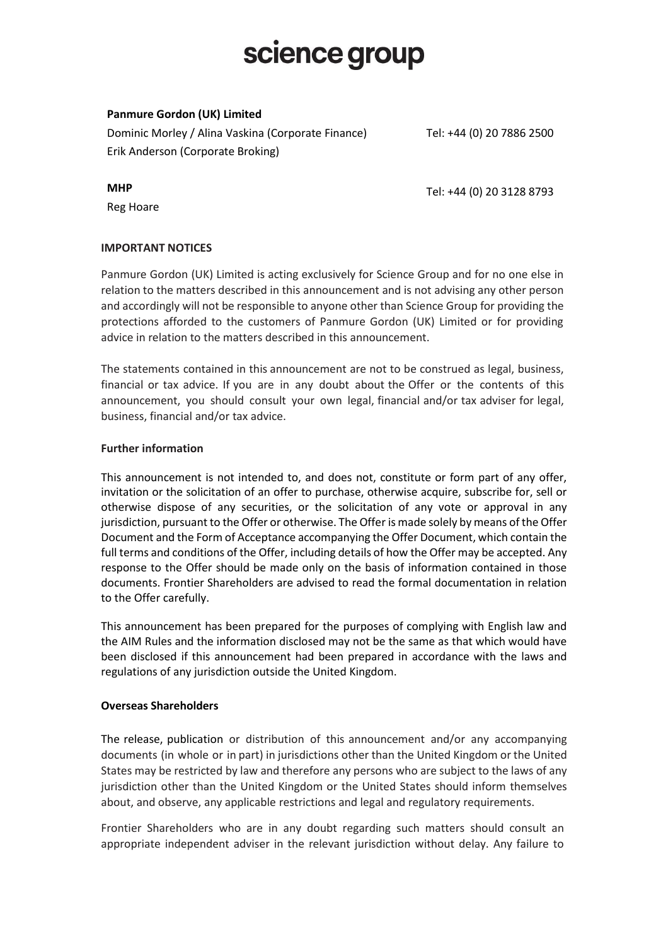## **Panmure Gordon (UK) Limited**

Dominic Morley / Alina Vaskina (Corporate Finance) Erik Anderson (Corporate Broking)

Tel: +44 (0) 20 7886 2500

**MHP**

Reg Hoare

Tel: +44 (0) 20 3128 8793

## **IMPORTANT NOTICES**

Panmure Gordon (UK) Limited is acting exclusively for Science Group and for no one else in relation to the matters described in this announcement and is not advising any other person and accordingly will not be responsible to anyone other than Science Group for providing the protections afforded to the customers of Panmure Gordon (UK) Limited or for providing advice in relation to the matters described in this announcement.

The statements contained in this announcement are not to be construed as legal, business, financial or tax advice. If you are in any doubt about the Offer or the contents of this announcement, you should consult your own legal, financial and/or tax adviser for legal, business, financial and/or tax advice.

### **Further information**

This announcement is not intended to, and does not, constitute or form part of any offer, invitation or the solicitation of an offer to purchase, otherwise acquire, subscribe for, sell or otherwise dispose of any securities, or the solicitation of any vote or approval in any jurisdiction, pursuant to the Offer or otherwise. The Offer is made solely by means of the Offer Document and the Form of Acceptance accompanying the Offer Document, which contain the full terms and conditions of the Offer, including details of how the Offer may be accepted. Any response to the Offer should be made only on the basis of information contained in those documents. Frontier Shareholders are advised to read the formal documentation in relation to the Offer carefully.

This announcement has been prepared for the purposes of complying with English law and the AIM Rules and the information disclosed may not be the same as that which would have been disclosed if this announcement had been prepared in accordance with the laws and regulations of any jurisdiction outside the United Kingdom.

### **Overseas Shareholders**

The release, publication or distribution of this announcement and/or any accompanying documents (in whole or in part) in jurisdictions other than the United Kingdom or the United States may be restricted by law and therefore any persons who are subject to the laws of any jurisdiction other than the United Kingdom or the United States should inform themselves about, and observe, any applicable restrictions and legal and regulatory requirements.

Frontier Shareholders who are in any doubt regarding such matters should consult an appropriate independent adviser in the relevant jurisdiction without delay. Any failure to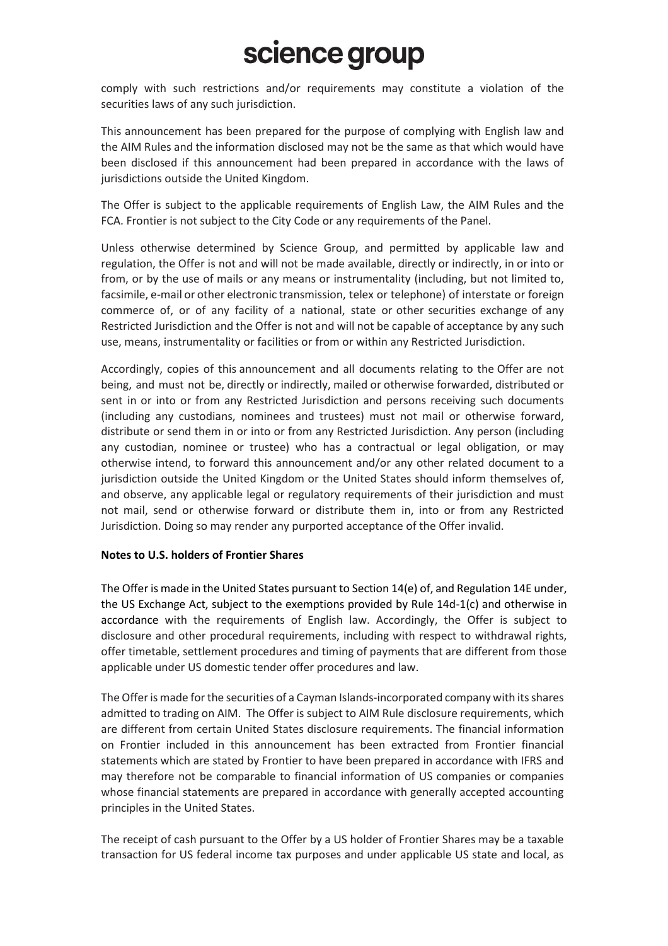comply with such restrictions and/or requirements may constitute a violation of the securities laws of any such jurisdiction.

This announcement has been prepared for the purpose of complying with English law and the AIM Rules and the information disclosed may not be the same as that which would have been disclosed if this announcement had been prepared in accordance with the laws of jurisdictions outside the United Kingdom.

The Offer is subject to the applicable requirements of English Law, the AIM Rules and the FCA. Frontier is not subject to the City Code or any requirements of the Panel.

Unless otherwise determined by Science Group, and permitted by applicable law and regulation, the Offer is not and will not be made available, directly or indirectly, in or into or from, or by the use of mails or any means or instrumentality (including, but not limited to, facsimile, e-mail or other electronic transmission, telex or telephone) of interstate or foreign commerce of, or of any facility of a national, state or other securities exchange of any Restricted Jurisdiction and the Offer is not and will not be capable of acceptance by any such use, means, instrumentality or facilities or from or within any Restricted Jurisdiction.

Accordingly, copies of this announcement and all documents relating to the Offer are not being, and must not be, directly or indirectly, mailed or otherwise forwarded, distributed or sent in or into or from any Restricted Jurisdiction and persons receiving such documents (including any custodians, nominees and trustees) must not mail or otherwise forward, distribute or send them in or into or from any Restricted Jurisdiction. Any person (including any custodian, nominee or trustee) who has a contractual or legal obligation, or may otherwise intend, to forward this announcement and/or any other related document to a jurisdiction outside the United Kingdom or the United States should inform themselves of, and observe, any applicable legal or regulatory requirements of their jurisdiction and must not mail, send or otherwise forward or distribute them in, into or from any Restricted Jurisdiction. Doing so may render any purported acceptance of the Offer invalid.

### **Notes to U.S. holders of Frontier Shares**

The Offer is made in the United States pursuant to Section 14(e) of, and Regulation 14E under, the US Exchange Act, subject to the exemptions provided by Rule 14d-1(c) and otherwise in accordance with the requirements of English law. Accordingly, the Offer is subject to disclosure and other procedural requirements, including with respect to withdrawal rights, offer timetable, settlement procedures and timing of payments that are different from those applicable under US domestic tender offer procedures and law.

The Offeris made for the securities of a Cayman Islands-incorporated company with its shares admitted to trading on AIM. The Offer is subject to AIM Rule disclosure requirements, which are different from certain United States disclosure requirements. The financial information on Frontier included in this announcement has been extracted from Frontier financial statements which are stated by Frontier to have been prepared in accordance with IFRS and may therefore not be comparable to financial information of US companies or companies whose financial statements are prepared in accordance with generally accepted accounting principles in the United States.

The receipt of cash pursuant to the Offer by a US holder of Frontier Shares may be a taxable transaction for US federal income tax purposes and under applicable US state and local, as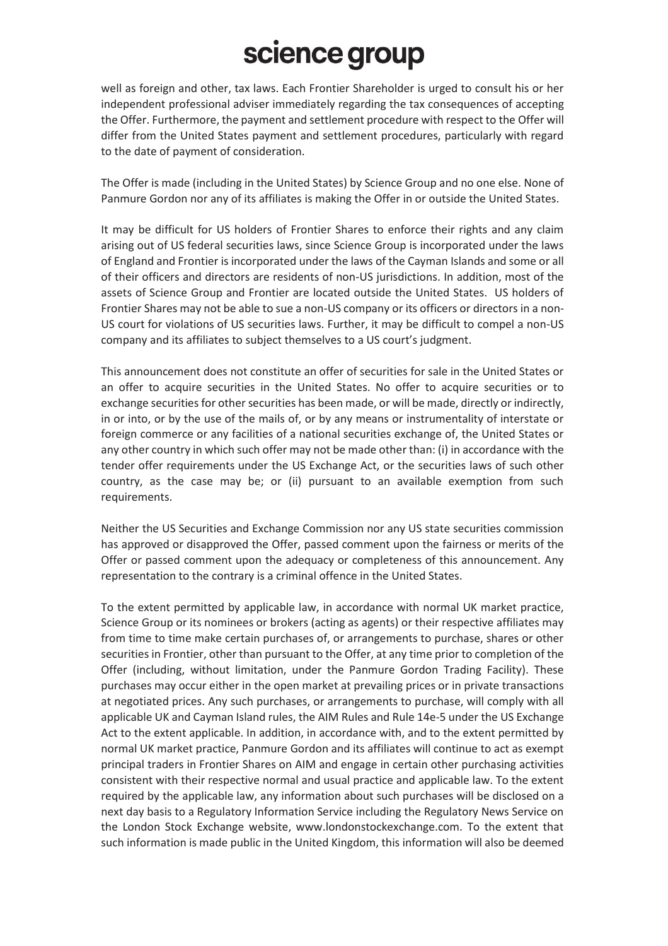well as foreign and other, tax laws. Each Frontier Shareholder is urged to consult his or her independent professional adviser immediately regarding the tax consequences of accepting the Offer. Furthermore, the payment and settlement procedure with respect to the Offer will differ from the United States payment and settlement procedures, particularly with regard to the date of payment of consideration.

The Offer is made (including in the United States) by Science Group and no one else. None of Panmure Gordon nor any of its affiliates is making the Offer in or outside the United States.

It may be difficult for US holders of Frontier Shares to enforce their rights and any claim arising out of US federal securities laws, since Science Group is incorporated under the laws of England and Frontier is incorporated under the laws of the Cayman Islands and some or all of their officers and directors are residents of non-US jurisdictions. In addition, most of the assets of Science Group and Frontier are located outside the United States. US holders of Frontier Shares may not be able to sue a non-US company or its officers or directors in a non-US court for violations of US securities laws. Further, it may be difficult to compel a non-US company and its affiliates to subject themselves to a US court's judgment.

This announcement does not constitute an offer of securities for sale in the United States or an offer to acquire securities in the United States. No offer to acquire securities or to exchange securities for other securities has been made, or will be made, directly or indirectly, in or into, or by the use of the mails of, or by any means or instrumentality of interstate or foreign commerce or any facilities of a national securities exchange of, the United States or any other country in which such offer may not be made other than: (i) in accordance with the tender offer requirements under the US Exchange Act, or the securities laws of such other country, as the case may be; or (ii) pursuant to an available exemption from such requirements.

Neither the US Securities and Exchange Commission nor any US state securities commission has approved or disapproved the Offer, passed comment upon the fairness or merits of the Offer or passed comment upon the adequacy or completeness of this announcement. Any representation to the contrary is a criminal offence in the United States.

To the extent permitted by applicable law, in accordance with normal UK market practice, Science Group or its nominees or brokers (acting as agents) or their respective affiliates may from time to time make certain purchases of, or arrangements to purchase, shares or other securities in Frontier, other than pursuant to the Offer, at any time prior to completion of the Offer (including, without limitation, under the Panmure Gordon Trading Facility). These purchases may occur either in the open market at prevailing prices or in private transactions at negotiated prices. Any such purchases, or arrangements to purchase, will comply with all applicable UK and Cayman Island rules, the AIM Rules and Rule 14e-5 under the US Exchange Act to the extent applicable. In addition, in accordance with, and to the extent permitted by normal UK market practice, Panmure Gordon and its affiliates will continue to act as exempt principal traders in Frontier Shares on AIM and engage in certain other purchasing activities consistent with their respective normal and usual practice and applicable law. To the extent required by the applicable law, any information about such purchases will be disclosed on a next day basis to a Regulatory Information Service including the Regulatory News Service on the London Stock Exchange website, www.londonstockexchange.com. To the extent that such information is made public in the United Kingdom, this information will also be deemed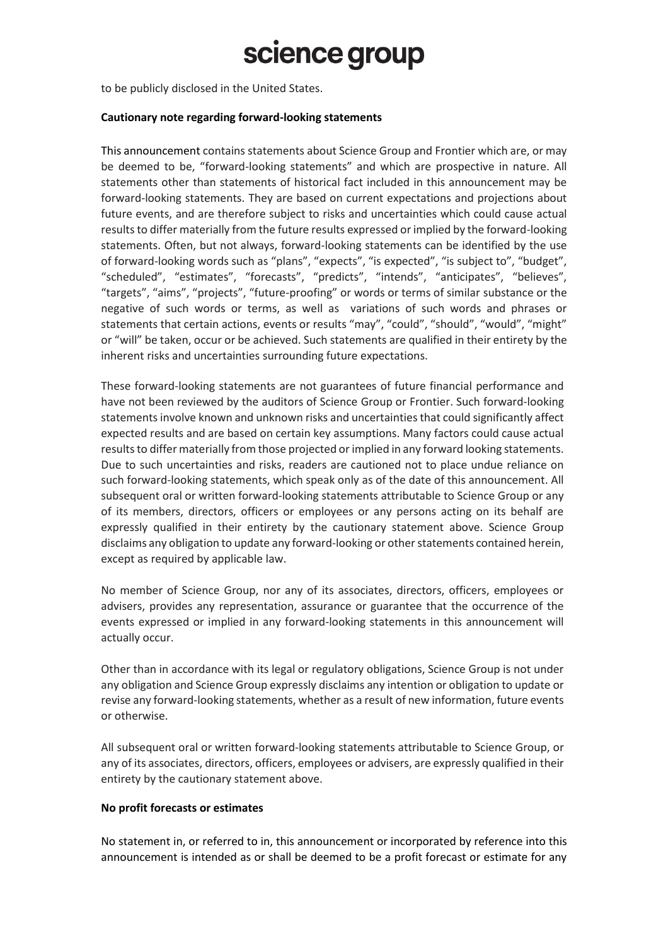to be publicly disclosed in the United States.

#### **Cautionary note regarding forward-looking statements**

This announcement contains statements about Science Group and Frontier which are, or may be deemed to be, "forward-looking statements" and which are prospective in nature. All statements other than statements of historical fact included in this announcement may be forward-looking statements. They are based on current expectations and projections about future events, and are therefore subject to risks and uncertainties which could cause actual results to differ materially from the future results expressed or implied by the forward-looking statements. Often, but not always, forward-looking statements can be identified by the use of forward-looking words such as "plans", "expects", "is expected", "is subject to", "budget", "scheduled", "estimates", "forecasts", "predicts", "intends", "anticipates", "believes", "targets", "aims", "projects", "future-proofing" or words or terms of similar substance or the negative of such words or terms, as well as variations of such words and phrases or statements that certain actions, events or results "may", "could", "should", "would", "might" or "will" be taken, occur or be achieved. Such statements are qualified in their entirety by the inherent risks and uncertainties surrounding future expectations.

These forward-looking statements are not guarantees of future financial performance and have not been reviewed by the auditors of Science Group or Frontier. Such forward-looking statements involve known and unknown risks and uncertainties that could significantly affect expected results and are based on certain key assumptions. Many factors could cause actual results to differ materially from those projected or implied in any forward looking statements. Due to such uncertainties and risks, readers are cautioned not to place undue reliance on such forward-looking statements, which speak only as of the date of this announcement. All subsequent oral or written forward-looking statements attributable to Science Group or any of its members, directors, officers or employees or any persons acting on its behalf are expressly qualified in their entirety by the cautionary statement above. Science Group disclaims any obligation to update any forward-looking or other statements contained herein, except as required by applicable law.

No member of Science Group, nor any of its associates, directors, officers, employees or advisers, provides any representation, assurance or guarantee that the occurrence of the events expressed or implied in any forward-looking statements in this announcement will actually occur.

Other than in accordance with its legal or regulatory obligations, Science Group is not under any obligation and Science Group expressly disclaims any intention or obligation to update or revise any forward-looking statements, whether as a result of new information, future events or otherwise.

All subsequent oral or written forward-looking statements attributable to Science Group, or any of its associates, directors, officers, employees or advisers, are expressly qualified in their entirety by the cautionary statement above.

### **No profit forecasts or estimates**

No statement in, or referred to in, this announcement or incorporated by reference into this announcement is intended as or shall be deemed to be a profit forecast or estimate for any